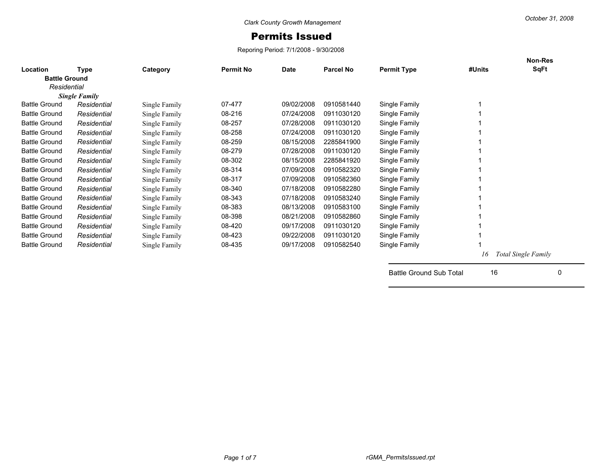## Permits Issued

Reporing Period: 7/1/2008 - 9/30/2008

|                      |                      |               |                  |            |                  |                    |        | Non-Res                    |
|----------------------|----------------------|---------------|------------------|------------|------------------|--------------------|--------|----------------------------|
| Location             | Type                 | Category      | <b>Permit No</b> | Date       | <b>Parcel No</b> | <b>Permit Type</b> | #Units | SqFt                       |
| <b>Battle Ground</b> |                      |               |                  |            |                  |                    |        |                            |
| Residential          |                      |               |                  |            |                  |                    |        |                            |
|                      | <b>Single Family</b> |               |                  |            |                  |                    |        |                            |
| <b>Battle Ground</b> | Residential          | Single Family | 07-477           | 09/02/2008 | 0910581440       | Single Family      |        |                            |
| <b>Battle Ground</b> | Residential          | Single Family | 08-216           | 07/24/2008 | 0911030120       | Single Family      |        |                            |
| <b>Battle Ground</b> | Residential          | Single Family | 08-257           | 07/28/2008 | 0911030120       | Single Family      |        |                            |
| <b>Battle Ground</b> | Residential          | Single Family | 08-258           | 07/24/2008 | 0911030120       | Single Family      |        |                            |
| <b>Battle Ground</b> | Residential          | Single Family | 08-259           | 08/15/2008 | 2285841900       | Single Family      |        |                            |
| <b>Battle Ground</b> | Residential          | Single Family | 08-279           | 07/28/2008 | 0911030120       | Single Family      |        |                            |
| <b>Battle Ground</b> | Residential          | Single Family | 08-302           | 08/15/2008 | 2285841920       | Single Family      |        |                            |
| <b>Battle Ground</b> | Residential          | Single Family | 08-314           | 07/09/2008 | 0910582320       | Single Family      |        |                            |
| <b>Battle Ground</b> | Residential          | Single Family | 08-317           | 07/09/2008 | 0910582360       | Single Family      |        |                            |
| <b>Battle Ground</b> | Residential          | Single Family | 08-340           | 07/18/2008 | 0910582280       | Single Family      |        |                            |
| <b>Battle Ground</b> | Residential          | Single Family | 08-343           | 07/18/2008 | 0910583240       | Single Family      |        |                            |
| <b>Battle Ground</b> | Residential          | Single Family | 08-383           | 08/13/2008 | 0910583100       | Single Family      |        |                            |
| <b>Battle Ground</b> | Residential          | Single Family | 08-398           | 08/21/2008 | 0910582860       | Single Family      |        |                            |
| <b>Battle Ground</b> | Residential          | Single Family | 08-420           | 09/17/2008 | 0911030120       | Single Family      |        |                            |
| <b>Battle Ground</b> | Residential          | Single Family | 08-423           | 09/22/2008 | 0911030120       | Single Family      |        |                            |
| <b>Battle Ground</b> | Residential          | Single Family | 08-435           | 09/17/2008 | 0910582540       | Single Family      |        |                            |
|                      |                      |               |                  |            |                  |                    | 16     | <b>Total Single Family</b> |
|                      |                      |               |                  |            |                  |                    |        |                            |

Battle Ground Sub Total 16 0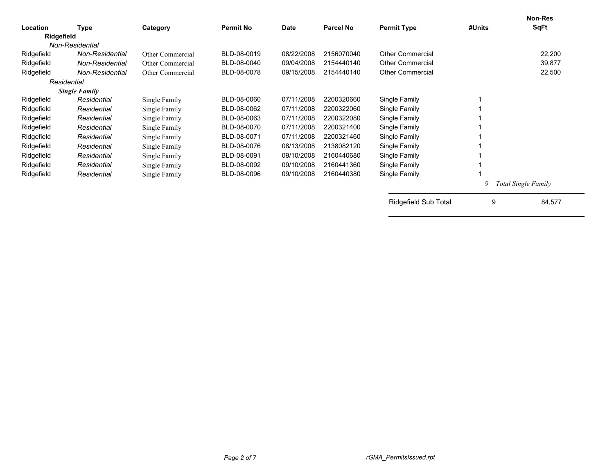| Location   | Type                 | Category         | <b>Permit No</b> | Date       | <b>Parcel No</b> | <b>Permit Type</b>      | #Units | <b>Non-Res</b><br>SqFt     |
|------------|----------------------|------------------|------------------|------------|------------------|-------------------------|--------|----------------------------|
| Ridgefield |                      |                  |                  |            |                  |                         |        |                            |
|            | Non-Residential      |                  |                  |            |                  |                         |        |                            |
| Ridgefield | Non-Residential      | Other Commercial | BLD-08-0019      | 08/22/2008 | 2156070040       | <b>Other Commercial</b> |        | 22,200                     |
| Ridgefield | Non-Residential      | Other Commercial | BLD-08-0040      | 09/04/2008 | 2154440140       | <b>Other Commercial</b> |        | 39,877                     |
| Ridgefield | Non-Residential      | Other Commercial | BLD-08-0078      | 09/15/2008 | 2154440140       | <b>Other Commercial</b> |        | 22,500                     |
|            | Residential          |                  |                  |            |                  |                         |        |                            |
|            | <b>Single Family</b> |                  |                  |            |                  |                         |        |                            |
| Ridgefield | Residential          | Single Family    | BLD-08-0060      | 07/11/2008 | 2200320660       | Single Family           |        |                            |
| Ridgefield | Residential          | Single Family    | BLD-08-0062      | 07/11/2008 | 2200322060       | Single Family           |        |                            |
| Ridgefield | Residential          | Single Family    | BLD-08-0063      | 07/11/2008 | 2200322080       | Single Family           |        |                            |
| Ridgefield | Residential          | Single Family    | BLD-08-0070      | 07/11/2008 | 2200321400       | Single Family           |        |                            |
| Ridgefield | Residential          | Single Family    | BLD-08-0071      | 07/11/2008 | 2200321460       | Single Family           |        |                            |
| Ridgefield | Residential          | Single Family    | BLD-08-0076      | 08/13/2008 | 2138082120       | Single Family           |        |                            |
| Ridgefield | Residential          | Single Family    | BLD-08-0091      | 09/10/2008 | 2160440680       | Single Family           |        |                            |
| Ridgefield | Residential          | Single Family    | BLD-08-0092      | 09/10/2008 | 2160441360       | Single Family           |        |                            |
| Ridgefield | Residential          | Single Family    | BLD-08-0096      | 09/10/2008 | 2160440380       | Single Family           |        |                            |
|            |                      |                  |                  |            |                  |                         | 9      | <b>Total Single Family</b> |
|            |                      |                  |                  |            |                  | Ridgefield Sub Total    | 9      | 84,577                     |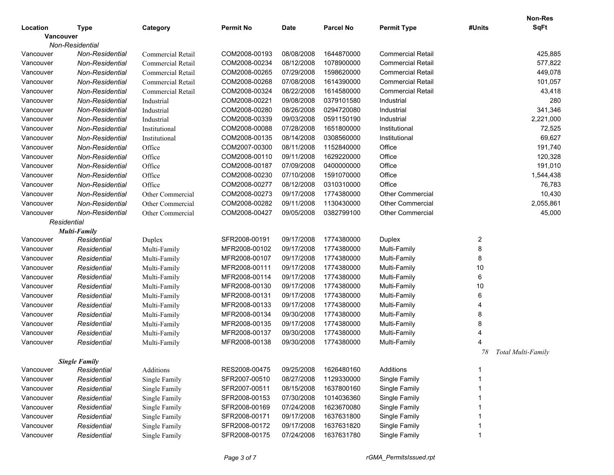|           |                      |                   |                  |             |                  |                          |                | <b>Non-Res</b>     |
|-----------|----------------------|-------------------|------------------|-------------|------------------|--------------------------|----------------|--------------------|
| Location  | <b>Type</b>          | Category          | <b>Permit No</b> | <b>Date</b> | <b>Parcel No</b> | <b>Permit Type</b>       | #Units         | <b>SqFt</b>        |
| Vancouver |                      |                   |                  |             |                  |                          |                |                    |
|           | Non-Residential      |                   |                  |             |                  |                          |                |                    |
| Vancouver | Non-Residential      | Commercial Retail | COM2008-00193    | 08/08/2008  | 1644870000       | <b>Commercial Retail</b> |                | 425,885            |
| Vancouver | Non-Residential      | Commercial Retail | COM2008-00234    | 08/12/2008  | 1078900000       | <b>Commercial Retail</b> |                | 577,822            |
| Vancouver | Non-Residential      | Commercial Retail | COM2008-00265    | 07/29/2008  | 1598620000       | <b>Commercial Retail</b> |                | 449,078            |
| Vancouver | Non-Residential      | Commercial Retail | COM2008-00268    | 07/08/2008  | 1614390000       | <b>Commercial Retail</b> |                | 101,057            |
| Vancouver | Non-Residential      | Commercial Retail | COM2008-00324    | 08/22/2008  | 1614580000       | <b>Commercial Retail</b> |                | 43,418             |
| Vancouver | Non-Residential      | Industrial        | COM2008-00221    | 09/08/2008  | 0379101580       | Industrial               |                | 280                |
| Vancouver | Non-Residential      | Industrial        | COM2008-00280    | 08/26/2008  | 0294720080       | Industrial               |                | 341,346            |
| Vancouver | Non-Residential      | Industrial        | COM2008-00339    | 09/03/2008  | 0591150190       | Industrial               |                | 2,221,000          |
| Vancouver | Non-Residential      | Institutional     | COM2008-00088    | 07/28/2008  | 1651800000       | Institutional            |                | 72,525             |
| Vancouver | Non-Residential      | Institutional     | COM2008-00135    | 08/14/2008  | 0308560000       | Institutional            |                | 69,627             |
| Vancouver | Non-Residential      | Office            | COM2007-00300    | 08/11/2008  | 1152840000       | Office                   |                | 191,740            |
| Vancouver | Non-Residential      | Office            | COM2008-00110    | 09/11/2008  | 1629220000       | Office                   |                | 120,328            |
| Vancouver | Non-Residential      | Office            | COM2008-00187    | 07/09/2008  | 0400000000       | Office                   |                | 191,010            |
| Vancouver | Non-Residential      | Office            | COM2008-00230    | 07/10/2008  | 1591070000       | Office                   |                | 1,544,438          |
| Vancouver | Non-Residential      | Office            | COM2008-00277    | 08/12/2008  | 0310310000       | Office                   |                | 76,783             |
| Vancouver | Non-Residential      | Other Commercial  | COM2008-00273    | 09/17/2008  | 1774380000       | <b>Other Commercial</b>  |                | 10,430             |
| Vancouver | Non-Residential      | Other Commercial  | COM2008-00282    | 09/11/2008  | 1130430000       | <b>Other Commercial</b>  |                | 2,055,861          |
| Vancouver | Non-Residential      | Other Commercial  | COM2008-00427    | 09/05/2008  | 0382799100       | <b>Other Commercial</b>  |                | 45,000             |
|           | Residential          |                   |                  |             |                  |                          |                |                    |
|           | Multi-Family         |                   |                  |             |                  |                          |                |                    |
| Vancouver | Residential          | Duplex            | SFR2008-00191    | 09/17/2008  | 1774380000       | Duplex                   | $\overline{c}$ |                    |
| Vancouver | Residential          | Multi-Family      | MFR2008-00102    | 09/17/2008  | 1774380000       | Multi-Family             | 8              |                    |
| Vancouver | Residential          | Multi-Family      | MFR2008-00107    | 09/17/2008  | 1774380000       | Multi-Family             | 8              |                    |
| Vancouver | Residential          | Multi-Family      | MFR2008-00111    | 09/17/2008  | 1774380000       | Multi-Family             | 10             |                    |
| Vancouver | Residential          | Multi-Family      | MFR2008-00114    | 09/17/2008  | 1774380000       | Multi-Family             | 6              |                    |
| Vancouver | Residential          | Multi-Family      | MFR2008-00130    | 09/17/2008  | 1774380000       | Multi-Family             | 10             |                    |
| Vancouver | Residential          | Multi-Family      | MFR2008-00131    | 09/17/2008  | 1774380000       | Multi-Family             | 6              |                    |
| Vancouver | Residential          | Multi-Family      | MFR2008-00133    | 09/17/2008  | 1774380000       | Multi-Family             | $\overline{4}$ |                    |
| Vancouver | Residential          | Multi-Family      | MFR2008-00134    | 09/30/2008  | 1774380000       | Multi-Family             | 8              |                    |
| Vancouver | Residential          | Multi-Family      | MFR2008-00135    | 09/17/2008  | 1774380000       | Multi-Family             | 8              |                    |
| Vancouver | Residential          | Multi-Family      | MFR2008-00137    | 09/30/2008  | 1774380000       | Multi-Family             | 4              |                    |
| Vancouver | Residential          | Multi-Family      | MFR2008-00138    | 09/30/2008  | 1774380000       | Multi-Family             | 4              |                    |
|           |                      |                   |                  |             |                  |                          | 78             | Total Multi-Family |
|           | <b>Single Family</b> |                   |                  |             |                  |                          |                |                    |
| Vancouver | Residential          | Additions         | RES2008-00475    | 09/25/2008  | 1626480160       | Additions                |                |                    |
| Vancouver | Residential          | Single Family     | SFR2007-00510    | 08/27/2008  | 1129330000       | Single Family            |                |                    |
| Vancouver | Residential          | Single Family     | SFR2007-00511    | 08/15/2008  | 1637800160       | Single Family            |                |                    |
| Vancouver | Residential          | Single Family     | SFR2008-00153    | 07/30/2008  | 1014036360       | Single Family            |                |                    |
| Vancouver | Residential          | Single Family     | SFR2008-00169    | 07/24/2008  | 1623670080       | Single Family            |                |                    |
| Vancouver | Residential          | Single Family     | SFR2008-00171    | 09/17/2008  | 1637631800       | Single Family            |                |                    |
| Vancouver | Residential          | Single Family     | SFR2008-00172    | 09/17/2008  | 1637631820       | Single Family            |                |                    |
| Vancouver | Residential          | Single Family     | SFR2008-00175    | 07/24/2008  | 1637631780       | Single Family            |                |                    |
|           |                      |                   |                  |             |                  |                          |                |                    |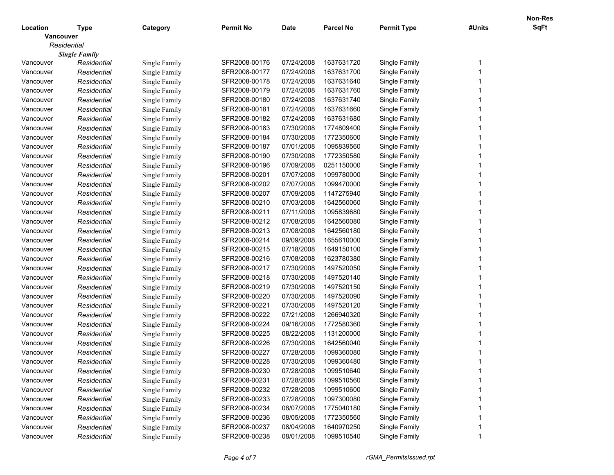|           |                      |               |                  |             |                  |                    |        | Non-Res     |
|-----------|----------------------|---------------|------------------|-------------|------------------|--------------------|--------|-------------|
| Location  | Type                 | Category      | <b>Permit No</b> | <b>Date</b> | <b>Parcel No</b> | <b>Permit Type</b> | #Units | <b>SqFt</b> |
| Vancouver |                      |               |                  |             |                  |                    |        |             |
|           | Residential          |               |                  |             |                  |                    |        |             |
|           | <b>Single Family</b> |               |                  |             |                  |                    |        |             |
| Vancouver | Residential          | Single Family | SFR2008-00176    | 07/24/2008  | 1637631720       | Single Family      |        |             |
| Vancouver | Residential          | Single Family | SFR2008-00177    | 07/24/2008  | 1637631700       | Single Family      |        |             |
| Vancouver | Residential          | Single Family | SFR2008-00178    | 07/24/2008  | 1637631640       | Single Family      |        |             |
| Vancouver | Residential          | Single Family | SFR2008-00179    | 07/24/2008  | 1637631760       | Single Family      |        |             |
| Vancouver | Residential          | Single Family | SFR2008-00180    | 07/24/2008  | 1637631740       | Single Family      |        |             |
| Vancouver | Residential          | Single Family | SFR2008-00181    | 07/24/2008  | 1637631660       | Single Family      |        |             |
| Vancouver | Residential          | Single Family | SFR2008-00182    | 07/24/2008  | 1637631680       | Single Family      |        |             |
| Vancouver | Residential          | Single Family | SFR2008-00183    | 07/30/2008  | 1774809400       | Single Family      |        |             |
| Vancouver | Residential          | Single Family | SFR2008-00184    | 07/30/2008  | 1772350600       | Single Family      |        |             |
| Vancouver | Residential          | Single Family | SFR2008-00187    | 07/01/2008  | 1095839560       | Single Family      |        |             |
| Vancouver | Residential          | Single Family | SFR2008-00190    | 07/30/2008  | 1772350580       | Single Family      |        |             |
| Vancouver | Residential          | Single Family | SFR2008-00196    | 07/09/2008  | 0251150000       | Single Family      |        |             |
| Vancouver | Residential          | Single Family | SFR2008-00201    | 07/07/2008  | 1099780000       | Single Family      |        |             |
| Vancouver | Residential          | Single Family | SFR2008-00202    | 07/07/2008  | 1099470000       | Single Family      |        |             |
| Vancouver | Residential          | Single Family | SFR2008-00207    | 07/09/2008  | 1147275940       | Single Family      |        |             |
| Vancouver | Residential          | Single Family | SFR2008-00210    | 07/03/2008  | 1642560060       | Single Family      |        |             |
| Vancouver | Residential          | Single Family | SFR2008-00211    | 07/11/2008  | 1095839680       | Single Family      |        |             |
| Vancouver | Residential          | Single Family | SFR2008-00212    | 07/08/2008  | 1642560080       | Single Family      |        |             |
| Vancouver | Residential          | Single Family | SFR2008-00213    | 07/08/2008  | 1642560180       | Single Family      |        |             |
| Vancouver | Residential          | Single Family | SFR2008-00214    | 09/09/2008  | 1655610000       | Single Family      |        |             |
| Vancouver | Residential          | Single Family | SFR2008-00215    | 07/18/2008  | 1649150100       | Single Family      |        |             |
| Vancouver | Residential          | Single Family | SFR2008-00216    | 07/08/2008  | 1623780380       | Single Family      |        |             |
| Vancouver | Residential          | Single Family | SFR2008-00217    | 07/30/2008  | 1497520050       | Single Family      |        |             |
| Vancouver | Residential          | Single Family | SFR2008-00218    | 07/30/2008  | 1497520140       | Single Family      |        |             |
| Vancouver | Residential          | Single Family | SFR2008-00219    | 07/30/2008  | 1497520150       | Single Family      |        |             |
| Vancouver | Residential          | Single Family | SFR2008-00220    | 07/30/2008  | 1497520090       | Single Family      |        |             |
| Vancouver | Residential          | Single Family | SFR2008-00221    | 07/30/2008  | 1497520120       | Single Family      |        |             |
| Vancouver | Residential          | Single Family | SFR2008-00222    | 07/21/2008  | 1266940320       | Single Family      |        |             |
| Vancouver | Residential          | Single Family | SFR2008-00224    | 09/16/2008  | 1772580360       | Single Family      |        |             |
| Vancouver | Residential          | Single Family | SFR2008-00225    | 08/22/2008  | 1131200000       | Single Family      |        |             |
| Vancouver | Residential          | Single Family | SFR2008-00226    | 07/30/2008  | 1642560040       | Single Family      |        |             |
| Vancouver | Residential          | Single Family | SFR2008-00227    | 07/28/2008  | 1099360080       | Single Family      |        |             |
| Vancouver | Residential          | Single Family | SFR2008-00228    | 07/30/2008  | 1099360480       | Single Family      |        |             |
| Vancouver | Residential          | Single Family | SFR2008-00230    | 07/28/2008  | 1099510640       | Single Family      |        |             |
| Vancouver | Residential          | Single Family | SFR2008-00231    | 07/28/2008  | 1099510560       | Single Family      |        |             |
| Vancouver | Residential          | Single Family | SFR2008-00232    | 07/28/2008  | 1099510600       | Single Family      |        |             |
| Vancouver | Residential          | Single Family | SFR2008-00233    | 07/28/2008  | 1097300080       | Single Family      |        |             |
| Vancouver | Residential          | Single Family | SFR2008-00234    | 08/07/2008  | 1775040180       | Single Family      |        |             |
| Vancouver | Residential          | Single Family | SFR2008-00236    | 08/05/2008  | 1772350560       | Single Family      |        |             |
| Vancouver | Residential          | Single Family | SFR2008-00237    | 08/04/2008  | 1640970250       | Single Family      |        |             |
| Vancouver | Residential          | Single Family | SFR2008-00238    | 08/01/2008  | 1099510540       | Single Family      |        |             |
|           |                      |               |                  |             |                  |                    |        |             |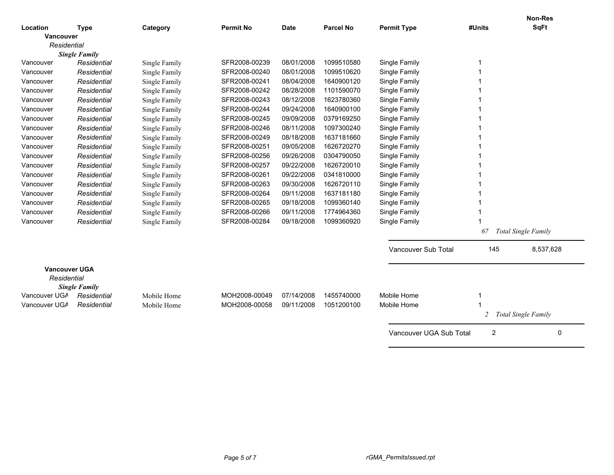| Location<br><b>Type</b><br>Category<br><b>Date</b><br><b>Vancouver</b><br>Residential<br><b>Single Family</b><br>SFR2008-00239<br>08/01/2008<br>1099510580<br>Single Family<br>Vancouver<br>Residential<br>Single Family<br>SFR2008-00240<br>08/01/2008<br>1099510620<br>Single Family<br>Vancouver<br>Residential<br>Single Family<br>SFR2008-00241<br>08/04/2008<br>1640900120<br>Single Family<br>Vancouver<br>Single Family<br>Residential<br>Vancouver<br>Residential<br>Single Family<br>SFR2008-00242<br>08/28/2008<br>1101590070<br>Single Family<br>SFR2008-00243<br>08/12/2008<br>1623780360<br>Vancouver<br>Residential<br>Single Family<br>Single Family<br>SFR2008-00244<br>09/24/2008<br>1640900100<br>Single Family<br>Vancouver<br>Residential<br>Single Family<br>Residential<br>SFR2008-00245<br>09/09/2008<br>0379169250<br>Single Family<br>Vancouver<br>Single Family<br>SFR2008-00246<br>08/11/2008<br>1097300240<br>Single Family<br>Vancouver<br>Residential<br>Single Family<br>Residential<br>SFR2008-00249<br>08/18/2008<br>1637181660<br>Single Family<br>Vancouver<br>Single Family<br>SFR2008-00251<br>09/05/2008<br>1626720270<br>Single Family<br>Vancouver<br>Residential<br>Single Family<br>SFR2008-00256<br>09/26/2008<br>0304790050<br>Vancouver<br>Residential<br>Single Family<br>Single Family<br>Vancouver<br>Residential<br>Single Family<br>SFR2008-00257<br>09/22/2008<br>1626720010<br>Single Family<br>SFR2008-00261<br>09/22/2008<br>0341810000<br>Single Family<br>Vancouver<br>Residential<br>Single Family<br>Residential<br>SFR2008-00263<br>09/30/2008<br>1626720110<br>Single Family<br>Vancouver<br>Single Family<br>Vancouver<br>Residential<br>SFR2008-00264<br>09/11/2008<br>1637181180<br>Single Family<br>Single Family<br>Residential<br>SFR2008-00265<br>09/18/2008<br>1099360140<br>Single Family<br>Vancouver<br>Single Family<br>SFR2008-00266<br>09/11/2008<br>1774964360<br>Single Family<br>Vancouver<br>Residential<br>Single Family<br>SFR2008-00284<br>09/18/2008<br>1099360920<br>Single Family<br>Vancouver<br>Residential<br>Single Family<br><b>Total Single Family</b><br>67<br>Vancouver Sub Total<br>145<br>8,537,628<br><b>Vancouver UGA</b><br>Residential<br><b>Single Family</b><br>Vancouver UGA<br>Mobile Home<br>MOH2008-00049<br>07/14/2008<br>1455740000<br>Mobile Home<br>Residential<br>Vancouver UGA<br>MOH2008-00058<br>09/11/2008<br>1051200100<br>Mobile Home<br>Residential<br>Mobile Home<br><b>Total Single Family</b><br>2<br>$\overline{2}$<br>Vancouver UGA Sub Total<br>0 |  |                  |                  |                    |        | <b>Non-Res</b> |  |
|------------------------------------------------------------------------------------------------------------------------------------------------------------------------------------------------------------------------------------------------------------------------------------------------------------------------------------------------------------------------------------------------------------------------------------------------------------------------------------------------------------------------------------------------------------------------------------------------------------------------------------------------------------------------------------------------------------------------------------------------------------------------------------------------------------------------------------------------------------------------------------------------------------------------------------------------------------------------------------------------------------------------------------------------------------------------------------------------------------------------------------------------------------------------------------------------------------------------------------------------------------------------------------------------------------------------------------------------------------------------------------------------------------------------------------------------------------------------------------------------------------------------------------------------------------------------------------------------------------------------------------------------------------------------------------------------------------------------------------------------------------------------------------------------------------------------------------------------------------------------------------------------------------------------------------------------------------------------------------------------------------------------------------------------------------------------------------------------------------------------------------------------------------------------------------------------------------------------------------------------------------------------------------------------------------------------------------------------------------------------------------------------------------------------------------------------------------------------------------------------------------------------------------------------------------------------------|--|------------------|------------------|--------------------|--------|----------------|--|
|                                                                                                                                                                                                                                                                                                                                                                                                                                                                                                                                                                                                                                                                                                                                                                                                                                                                                                                                                                                                                                                                                                                                                                                                                                                                                                                                                                                                                                                                                                                                                                                                                                                                                                                                                                                                                                                                                                                                                                                                                                                                                                                                                                                                                                                                                                                                                                                                                                                                                                                                                                              |  | <b>Permit No</b> | <b>Parcel No</b> | <b>Permit Type</b> | #Units | <b>SqFt</b>    |  |
|                                                                                                                                                                                                                                                                                                                                                                                                                                                                                                                                                                                                                                                                                                                                                                                                                                                                                                                                                                                                                                                                                                                                                                                                                                                                                                                                                                                                                                                                                                                                                                                                                                                                                                                                                                                                                                                                                                                                                                                                                                                                                                                                                                                                                                                                                                                                                                                                                                                                                                                                                                              |  |                  |                  |                    |        |                |  |
|                                                                                                                                                                                                                                                                                                                                                                                                                                                                                                                                                                                                                                                                                                                                                                                                                                                                                                                                                                                                                                                                                                                                                                                                                                                                                                                                                                                                                                                                                                                                                                                                                                                                                                                                                                                                                                                                                                                                                                                                                                                                                                                                                                                                                                                                                                                                                                                                                                                                                                                                                                              |  |                  |                  |                    |        |                |  |
|                                                                                                                                                                                                                                                                                                                                                                                                                                                                                                                                                                                                                                                                                                                                                                                                                                                                                                                                                                                                                                                                                                                                                                                                                                                                                                                                                                                                                                                                                                                                                                                                                                                                                                                                                                                                                                                                                                                                                                                                                                                                                                                                                                                                                                                                                                                                                                                                                                                                                                                                                                              |  |                  |                  |                    |        |                |  |
|                                                                                                                                                                                                                                                                                                                                                                                                                                                                                                                                                                                                                                                                                                                                                                                                                                                                                                                                                                                                                                                                                                                                                                                                                                                                                                                                                                                                                                                                                                                                                                                                                                                                                                                                                                                                                                                                                                                                                                                                                                                                                                                                                                                                                                                                                                                                                                                                                                                                                                                                                                              |  |                  |                  |                    |        |                |  |
|                                                                                                                                                                                                                                                                                                                                                                                                                                                                                                                                                                                                                                                                                                                                                                                                                                                                                                                                                                                                                                                                                                                                                                                                                                                                                                                                                                                                                                                                                                                                                                                                                                                                                                                                                                                                                                                                                                                                                                                                                                                                                                                                                                                                                                                                                                                                                                                                                                                                                                                                                                              |  |                  |                  |                    |        |                |  |
|                                                                                                                                                                                                                                                                                                                                                                                                                                                                                                                                                                                                                                                                                                                                                                                                                                                                                                                                                                                                                                                                                                                                                                                                                                                                                                                                                                                                                                                                                                                                                                                                                                                                                                                                                                                                                                                                                                                                                                                                                                                                                                                                                                                                                                                                                                                                                                                                                                                                                                                                                                              |  |                  |                  |                    |        |                |  |
|                                                                                                                                                                                                                                                                                                                                                                                                                                                                                                                                                                                                                                                                                                                                                                                                                                                                                                                                                                                                                                                                                                                                                                                                                                                                                                                                                                                                                                                                                                                                                                                                                                                                                                                                                                                                                                                                                                                                                                                                                                                                                                                                                                                                                                                                                                                                                                                                                                                                                                                                                                              |  |                  |                  |                    |        |                |  |
|                                                                                                                                                                                                                                                                                                                                                                                                                                                                                                                                                                                                                                                                                                                                                                                                                                                                                                                                                                                                                                                                                                                                                                                                                                                                                                                                                                                                                                                                                                                                                                                                                                                                                                                                                                                                                                                                                                                                                                                                                                                                                                                                                                                                                                                                                                                                                                                                                                                                                                                                                                              |  |                  |                  |                    |        |                |  |
|                                                                                                                                                                                                                                                                                                                                                                                                                                                                                                                                                                                                                                                                                                                                                                                                                                                                                                                                                                                                                                                                                                                                                                                                                                                                                                                                                                                                                                                                                                                                                                                                                                                                                                                                                                                                                                                                                                                                                                                                                                                                                                                                                                                                                                                                                                                                                                                                                                                                                                                                                                              |  |                  |                  |                    |        |                |  |
|                                                                                                                                                                                                                                                                                                                                                                                                                                                                                                                                                                                                                                                                                                                                                                                                                                                                                                                                                                                                                                                                                                                                                                                                                                                                                                                                                                                                                                                                                                                                                                                                                                                                                                                                                                                                                                                                                                                                                                                                                                                                                                                                                                                                                                                                                                                                                                                                                                                                                                                                                                              |  |                  |                  |                    |        |                |  |
|                                                                                                                                                                                                                                                                                                                                                                                                                                                                                                                                                                                                                                                                                                                                                                                                                                                                                                                                                                                                                                                                                                                                                                                                                                                                                                                                                                                                                                                                                                                                                                                                                                                                                                                                                                                                                                                                                                                                                                                                                                                                                                                                                                                                                                                                                                                                                                                                                                                                                                                                                                              |  |                  |                  |                    |        |                |  |
|                                                                                                                                                                                                                                                                                                                                                                                                                                                                                                                                                                                                                                                                                                                                                                                                                                                                                                                                                                                                                                                                                                                                                                                                                                                                                                                                                                                                                                                                                                                                                                                                                                                                                                                                                                                                                                                                                                                                                                                                                                                                                                                                                                                                                                                                                                                                                                                                                                                                                                                                                                              |  |                  |                  |                    |        |                |  |
|                                                                                                                                                                                                                                                                                                                                                                                                                                                                                                                                                                                                                                                                                                                                                                                                                                                                                                                                                                                                                                                                                                                                                                                                                                                                                                                                                                                                                                                                                                                                                                                                                                                                                                                                                                                                                                                                                                                                                                                                                                                                                                                                                                                                                                                                                                                                                                                                                                                                                                                                                                              |  |                  |                  |                    |        |                |  |
|                                                                                                                                                                                                                                                                                                                                                                                                                                                                                                                                                                                                                                                                                                                                                                                                                                                                                                                                                                                                                                                                                                                                                                                                                                                                                                                                                                                                                                                                                                                                                                                                                                                                                                                                                                                                                                                                                                                                                                                                                                                                                                                                                                                                                                                                                                                                                                                                                                                                                                                                                                              |  |                  |                  |                    |        |                |  |
|                                                                                                                                                                                                                                                                                                                                                                                                                                                                                                                                                                                                                                                                                                                                                                                                                                                                                                                                                                                                                                                                                                                                                                                                                                                                                                                                                                                                                                                                                                                                                                                                                                                                                                                                                                                                                                                                                                                                                                                                                                                                                                                                                                                                                                                                                                                                                                                                                                                                                                                                                                              |  |                  |                  |                    |        |                |  |
|                                                                                                                                                                                                                                                                                                                                                                                                                                                                                                                                                                                                                                                                                                                                                                                                                                                                                                                                                                                                                                                                                                                                                                                                                                                                                                                                                                                                                                                                                                                                                                                                                                                                                                                                                                                                                                                                                                                                                                                                                                                                                                                                                                                                                                                                                                                                                                                                                                                                                                                                                                              |  |                  |                  |                    |        |                |  |
|                                                                                                                                                                                                                                                                                                                                                                                                                                                                                                                                                                                                                                                                                                                                                                                                                                                                                                                                                                                                                                                                                                                                                                                                                                                                                                                                                                                                                                                                                                                                                                                                                                                                                                                                                                                                                                                                                                                                                                                                                                                                                                                                                                                                                                                                                                                                                                                                                                                                                                                                                                              |  |                  |                  |                    |        |                |  |
|                                                                                                                                                                                                                                                                                                                                                                                                                                                                                                                                                                                                                                                                                                                                                                                                                                                                                                                                                                                                                                                                                                                                                                                                                                                                                                                                                                                                                                                                                                                                                                                                                                                                                                                                                                                                                                                                                                                                                                                                                                                                                                                                                                                                                                                                                                                                                                                                                                                                                                                                                                              |  |                  |                  |                    |        |                |  |
|                                                                                                                                                                                                                                                                                                                                                                                                                                                                                                                                                                                                                                                                                                                                                                                                                                                                                                                                                                                                                                                                                                                                                                                                                                                                                                                                                                                                                                                                                                                                                                                                                                                                                                                                                                                                                                                                                                                                                                                                                                                                                                                                                                                                                                                                                                                                                                                                                                                                                                                                                                              |  |                  |                  |                    |        |                |  |
|                                                                                                                                                                                                                                                                                                                                                                                                                                                                                                                                                                                                                                                                                                                                                                                                                                                                                                                                                                                                                                                                                                                                                                                                                                                                                                                                                                                                                                                                                                                                                                                                                                                                                                                                                                                                                                                                                                                                                                                                                                                                                                                                                                                                                                                                                                                                                                                                                                                                                                                                                                              |  |                  |                  |                    |        |                |  |
|                                                                                                                                                                                                                                                                                                                                                                                                                                                                                                                                                                                                                                                                                                                                                                                                                                                                                                                                                                                                                                                                                                                                                                                                                                                                                                                                                                                                                                                                                                                                                                                                                                                                                                                                                                                                                                                                                                                                                                                                                                                                                                                                                                                                                                                                                                                                                                                                                                                                                                                                                                              |  |                  |                  |                    |        |                |  |
|                                                                                                                                                                                                                                                                                                                                                                                                                                                                                                                                                                                                                                                                                                                                                                                                                                                                                                                                                                                                                                                                                                                                                                                                                                                                                                                                                                                                                                                                                                                                                                                                                                                                                                                                                                                                                                                                                                                                                                                                                                                                                                                                                                                                                                                                                                                                                                                                                                                                                                                                                                              |  |                  |                  |                    |        |                |  |
|                                                                                                                                                                                                                                                                                                                                                                                                                                                                                                                                                                                                                                                                                                                                                                                                                                                                                                                                                                                                                                                                                                                                                                                                                                                                                                                                                                                                                                                                                                                                                                                                                                                                                                                                                                                                                                                                                                                                                                                                                                                                                                                                                                                                                                                                                                                                                                                                                                                                                                                                                                              |  |                  |                  |                    |        |                |  |
|                                                                                                                                                                                                                                                                                                                                                                                                                                                                                                                                                                                                                                                                                                                                                                                                                                                                                                                                                                                                                                                                                                                                                                                                                                                                                                                                                                                                                                                                                                                                                                                                                                                                                                                                                                                                                                                                                                                                                                                                                                                                                                                                                                                                                                                                                                                                                                                                                                                                                                                                                                              |  |                  |                  |                    |        |                |  |
|                                                                                                                                                                                                                                                                                                                                                                                                                                                                                                                                                                                                                                                                                                                                                                                                                                                                                                                                                                                                                                                                                                                                                                                                                                                                                                                                                                                                                                                                                                                                                                                                                                                                                                                                                                                                                                                                                                                                                                                                                                                                                                                                                                                                                                                                                                                                                                                                                                                                                                                                                                              |  |                  |                  |                    |        |                |  |
|                                                                                                                                                                                                                                                                                                                                                                                                                                                                                                                                                                                                                                                                                                                                                                                                                                                                                                                                                                                                                                                                                                                                                                                                                                                                                                                                                                                                                                                                                                                                                                                                                                                                                                                                                                                                                                                                                                                                                                                                                                                                                                                                                                                                                                                                                                                                                                                                                                                                                                                                                                              |  |                  |                  |                    |        |                |  |
|                                                                                                                                                                                                                                                                                                                                                                                                                                                                                                                                                                                                                                                                                                                                                                                                                                                                                                                                                                                                                                                                                                                                                                                                                                                                                                                                                                                                                                                                                                                                                                                                                                                                                                                                                                                                                                                                                                                                                                                                                                                                                                                                                                                                                                                                                                                                                                                                                                                                                                                                                                              |  |                  |                  |                    |        |                |  |
|                                                                                                                                                                                                                                                                                                                                                                                                                                                                                                                                                                                                                                                                                                                                                                                                                                                                                                                                                                                                                                                                                                                                                                                                                                                                                                                                                                                                                                                                                                                                                                                                                                                                                                                                                                                                                                                                                                                                                                                                                                                                                                                                                                                                                                                                                                                                                                                                                                                                                                                                                                              |  |                  |                  |                    |        |                |  |
|                                                                                                                                                                                                                                                                                                                                                                                                                                                                                                                                                                                                                                                                                                                                                                                                                                                                                                                                                                                                                                                                                                                                                                                                                                                                                                                                                                                                                                                                                                                                                                                                                                                                                                                                                                                                                                                                                                                                                                                                                                                                                                                                                                                                                                                                                                                                                                                                                                                                                                                                                                              |  |                  |                  |                    |        |                |  |
|                                                                                                                                                                                                                                                                                                                                                                                                                                                                                                                                                                                                                                                                                                                                                                                                                                                                                                                                                                                                                                                                                                                                                                                                                                                                                                                                                                                                                                                                                                                                                                                                                                                                                                                                                                                                                                                                                                                                                                                                                                                                                                                                                                                                                                                                                                                                                                                                                                                                                                                                                                              |  |                  |                  |                    |        |                |  |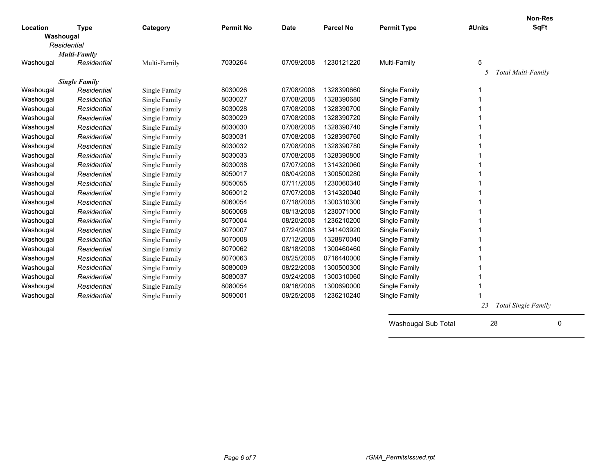|           |                      |               |                  |             |                  |                     |        | <b>Non-Res</b>      |
|-----------|----------------------|---------------|------------------|-------------|------------------|---------------------|--------|---------------------|
| Location  | <b>Type</b>          | Category      | <b>Permit No</b> | <b>Date</b> | <b>Parcel No</b> | <b>Permit Type</b>  | #Units | <b>SqFt</b>         |
| Washougal | Residential          |               |                  |             |                  |                     |        |                     |
|           | <b>Multi-Family</b>  |               |                  |             |                  |                     |        |                     |
| Washougal | Residential          | Multi-Family  | 7030264          | 07/09/2008  | 1230121220       | Multi-Family        | 5      |                     |
|           |                      |               |                  |             |                  |                     | 5      | Total Multi-Family  |
|           | <b>Single Family</b> |               |                  |             |                  |                     |        |                     |
| Washougal | Residential          | Single Family | 8030026          | 07/08/2008  | 1328390660       | Single Family       | 1      |                     |
| Washougal | Residential          | Single Family | 8030027          | 07/08/2008  | 1328390680       | Single Family       | 1      |                     |
| Washougal | Residential          | Single Family | 8030028          | 07/08/2008  | 1328390700       | Single Family       |        |                     |
| Washougal | Residential          | Single Family | 8030029          | 07/08/2008  | 1328390720       | Single Family       | 1      |                     |
| Washougal | Residential          | Single Family | 8030030          | 07/08/2008  | 1328390740       | Single Family       |        |                     |
| Washougal | Residential          | Single Family | 8030031          | 07/08/2008  | 1328390760       | Single Family       |        |                     |
| Washougal | Residential          | Single Family | 8030032          | 07/08/2008  | 1328390780       | Single Family       |        |                     |
| Washougal | Residential          | Single Family | 8030033          | 07/08/2008  | 1328390800       | Single Family       |        |                     |
| Washougal | Residential          | Single Family | 8030038          | 07/07/2008  | 1314320060       | Single Family       |        |                     |
| Washougal | Residential          | Single Family | 8050017          | 08/04/2008  | 1300500280       | Single Family       |        |                     |
| Washougal | Residential          | Single Family | 8050055          | 07/11/2008  | 1230060340       | Single Family       |        |                     |
| Washougal | Residential          | Single Family | 8060012          | 07/07/2008  | 1314320040       | Single Family       |        |                     |
| Washougal | Residential          | Single Family | 8060054          | 07/18/2008  | 1300310300       | Single Family       |        |                     |
| Washougal | Residential          | Single Family | 8060068          | 08/13/2008  | 1230071000       | Single Family       |        |                     |
| Washougal | Residential          | Single Family | 8070004          | 08/20/2008  | 1236210200       | Single Family       |        |                     |
| Washougal | Residential          | Single Family | 8070007          | 07/24/2008  | 1341403920       | Single Family       |        |                     |
| Washougal | Residential          | Single Family | 8070008          | 07/12/2008  | 1328870040       | Single Family       | 1      |                     |
| Washougal | Residential          | Single Family | 8070062          | 08/18/2008  | 1300460460       | Single Family       |        |                     |
| Washougal | Residential          | Single Family | 8070063          | 08/25/2008  | 0716440000       | Single Family       |        |                     |
| Washougal | Residential          | Single Family | 8080009          | 08/22/2008  | 1300500300       | Single Family       |        |                     |
| Washougal | Residential          | Single Family | 8080037          | 09/24/2008  | 1300310060       | Single Family       |        |                     |
| Washougal | Residential          | Single Family | 8080054          | 09/16/2008  | 1300690000       | Single Family       | 1      |                     |
| Washougal | Residential          | Single Family | 8090001          | 09/25/2008  | 1236210240       | Single Family       |        |                     |
|           |                      |               |                  |             |                  |                     | 23     | Total Single Family |
|           |                      |               |                  |             |                  | Washougal Sub Total | 28     | 0                   |